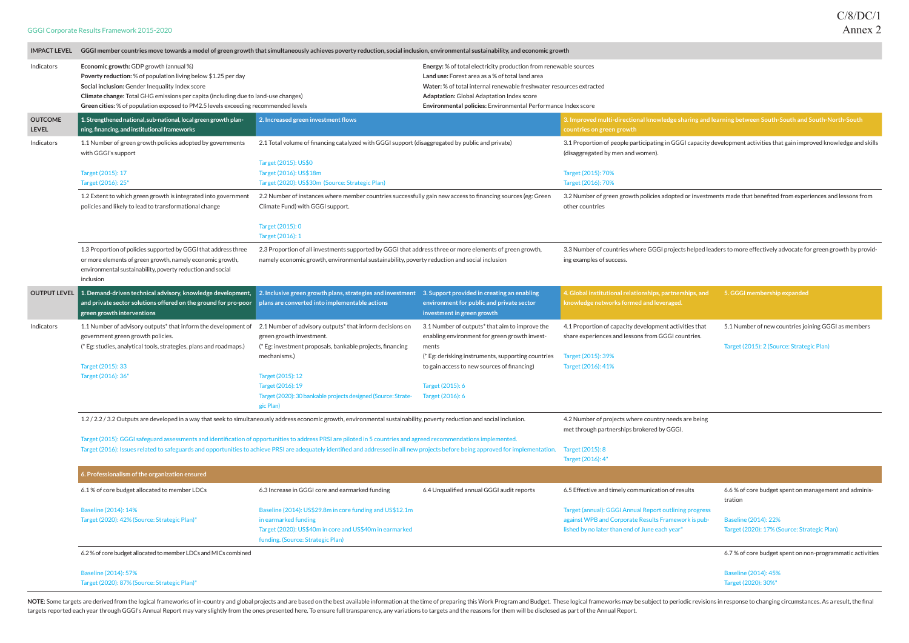| <b>IMPACT LEVEL</b>            | GGGI member countries move towards a model of green growth that simultaneously achieves poverty reduction, social inclusion, environmental sustainability, and economic growth                                                                                                                                                                          |                                                                                                                                                                                                                                                                                                       |                                                                                                                                                                                                                                                                   |                                                                                                                                                                 |                                                                                                                        |
|--------------------------------|---------------------------------------------------------------------------------------------------------------------------------------------------------------------------------------------------------------------------------------------------------------------------------------------------------------------------------------------------------|-------------------------------------------------------------------------------------------------------------------------------------------------------------------------------------------------------------------------------------------------------------------------------------------------------|-------------------------------------------------------------------------------------------------------------------------------------------------------------------------------------------------------------------------------------------------------------------|-----------------------------------------------------------------------------------------------------------------------------------------------------------------|------------------------------------------------------------------------------------------------------------------------|
| Indicators                     | Economic growth: GDP growth (annual %)<br>Poverty reduction: % of population living below \$1.25 per day<br>Social inclusion: Gender Inequality Index score<br>Climate change: Total GHG emissions per capita (including due to land-use changes)                                                                                                       |                                                                                                                                                                                                                                                                                                       | Energy: % of total electricity production from renewable sources<br>Land use: Forest area as a % of total land area<br>Water: % of total internal renewable freshwater resources extracted<br><b>Adaptation:</b> Global Adaptation Index score                    |                                                                                                                                                                 |                                                                                                                        |
|                                | Green cities: % of population exposed to PM2.5 levels exceeding recommended levels                                                                                                                                                                                                                                                                      |                                                                                                                                                                                                                                                                                                       | Environmental policies: Environmental Performance Index score                                                                                                                                                                                                     |                                                                                                                                                                 |                                                                                                                        |
| <b>OUTCOME</b><br><b>LEVEL</b> | 1. Strengthened national, sub-national, local green growth plan-<br>ning, financing, and institutional frameworks                                                                                                                                                                                                                                       | 2. Increased green investment flows                                                                                                                                                                                                                                                                   |                                                                                                                                                                                                                                                                   | 3. Improved multi-directional knowledge sharing and learning between South-South and South-North-South<br>countries on green growth                             |                                                                                                                        |
| Indicators                     | 1.1 Number of green growth policies adopted by governments<br>with GGGI's support                                                                                                                                                                                                                                                                       | 2.1 Total volume of financing catalyzed with GGGI support (disaggregated by public and private)<br>Target (2015): US\$0                                                                                                                                                                               |                                                                                                                                                                                                                                                                   | (disaggregated by men and women).                                                                                                                               | 3.1 Proportion of people participating in GGGI capacity development activities that gain improved knowledge and skills |
|                                | Target (2015): 17<br>Target (2016): 25"                                                                                                                                                                                                                                                                                                                 | Target (2016): US\$18m<br>Target (2020): US\$30m (Source: Strategic Plan)                                                                                                                                                                                                                             |                                                                                                                                                                                                                                                                   | Target (2015): 70%<br>Target (2016): 70%                                                                                                                        |                                                                                                                        |
|                                | 1.2 Extent to which green growth is integrated into government<br>policies and likely to lead to transformational change                                                                                                                                                                                                                                | 2.2 Number of instances where member countries successfully gain new access to financing sources (eg: Green<br>Climate Fund) with GGGI support.<br>Target (2015): 0                                                                                                                                   |                                                                                                                                                                                                                                                                   | other countries                                                                                                                                                 | 3.2 Number of green growth policies adopted or investments made that benefited from experiences and lessons from       |
|                                |                                                                                                                                                                                                                                                                                                                                                         | Target (2016): 1                                                                                                                                                                                                                                                                                      |                                                                                                                                                                                                                                                                   |                                                                                                                                                                 |                                                                                                                        |
|                                | 1.3 Proportion of policies supported by GGGI that address three<br>or more elements of green growth, namely economic growth,<br>environmental sustainability, poverty reduction and social<br>inclusion                                                                                                                                                 | 2.3 Proportion of all investments supported by GGGI that address three or more elements of green growth,<br>namely economic growth, environmental sustainability, poverty reduction and social inclusion                                                                                              |                                                                                                                                                                                                                                                                   | ing examples of success.                                                                                                                                        | 3.3 Number of countries where GGGI projects helped leaders to more effectively advocate for green growth by provid-    |
| <b>OUTPUT LEVEL</b>            | 1. Demand-driven technical advisory, knowledge development, $\quad$ 2. Inclusive green growth plans, strategies and investment<br>and private sector solutions offered on the ground for pro-poor $\vert$ plans are converted into implementable actions<br>green growth interventions                                                                  |                                                                                                                                                                                                                                                                                                       | 3. Support provided in creating an enabling<br>environment for public and private sector<br>investment in green growth                                                                                                                                            | 4. Global institutional relationships, partnerships, and<br>knowledge networks formed and leveraged.                                                            | 5. GGGI membership expanded                                                                                            |
| Indicators                     | 1.1 Number of advisory outputs <sup>*</sup> that inform the development of<br>government green growth policies.<br>(* Eg: studies, analytical tools, strategies, plans and roadmaps.)<br>Target (2015): 33<br>Target (2016): 36"                                                                                                                        | 2.1 Number of advisory outputs <sup>*</sup> that inform decisions on<br>green growth investment.<br>(* Eg: investment proposals, bankable projects, financing<br>mechanisms.)<br>Target (2015): 12<br>Target (2016): 19<br>Target (2020): 30 bankable projects designed (Source: Strate-<br>gic Plan) | 3.1 Number of outputs <sup>*</sup> that aim to improve the<br>enabling environment for green growth invest-<br>ments<br>(* Eg: derisking instruments, supporting countries<br>to gain access to new sources of financing)<br>Target (2015): 6<br>Target (2016): 6 | 4.1 Proportion of capacity development activities that<br>share experiences and lessons from GGGI countries.<br>Target (2015): 39%<br>Target (2016): 41%        | 5.1 Number of new countries joining GGGI as members<br>Target (2015): 2 (Source: Strategic Plan)                       |
|                                | 1.2 / 2.2 / 3.2 Outputs are developed in a way that seek to simultaneously address economic growth, environmental sustainability, poverty reduction and social inclusion.                                                                                                                                                                               |                                                                                                                                                                                                                                                                                                       |                                                                                                                                                                                                                                                                   | 4.2 Number of projects where country needs are being<br>met through partnerships brokered by GGGI.                                                              |                                                                                                                        |
|                                | Target (2015): GGGI safeguard assessments and identification of opportunities to address PRSI are piloted in 5 countries and agreed recommendations implemented.<br>Target (2016): Issues related to safeguards and opportunities to achieve PRSI are adequately identified and addressed in all new projects before being approved for implementation. |                                                                                                                                                                                                                                                                                                       |                                                                                                                                                                                                                                                                   | Target (2015): 8<br>Target (2016): 4"                                                                                                                           |                                                                                                                        |
|                                | 6. Professionalism of the organization ensured                                                                                                                                                                                                                                                                                                          |                                                                                                                                                                                                                                                                                                       |                                                                                                                                                                                                                                                                   |                                                                                                                                                                 |                                                                                                                        |
|                                | 6.1% of core budget allocated to member LDCs                                                                                                                                                                                                                                                                                                            | 6.3 Increase in GGGI core and earmarked funding                                                                                                                                                                                                                                                       | 6.4 Unqualified annual GGGI audit reports                                                                                                                                                                                                                         | 6.5 Effective and timely communication of results                                                                                                               | 6.6% of core budget spent on management and adminis-<br>tration                                                        |
|                                | <b>Baseline (2014): 14%</b><br>Target (2020): 42% (Source: Strategic Plan)"                                                                                                                                                                                                                                                                             | Baseline (2014): US\$29.8m in core funding and US\$12.1m<br>in earmarked funding<br>Target (2020): US\$40m in core and US\$40m in earmarked<br>funding. (Source: Strategic Plan)                                                                                                                      |                                                                                                                                                                                                                                                                   | Target (annual): GGGI Annual Report outlining progress<br>against WPB and Corporate Results Framework is pub-<br>lished by no later than end of June each year" | <b>Baseline (2014): 22%</b><br>Target (2020): 17% (Source: Strategic Plan)                                             |
|                                | 6.2% of core budget allocated to member LDCs and MICs combined                                                                                                                                                                                                                                                                                          |                                                                                                                                                                                                                                                                                                       |                                                                                                                                                                                                                                                                   |                                                                                                                                                                 | 6.7% of core budget spent on non-programmatic activities                                                               |
|                                | <b>Baseline (2014): 57%</b><br>Target (2020): 87% (Source: Strategic Plan)"                                                                                                                                                                                                                                                                             |                                                                                                                                                                                                                                                                                                       |                                                                                                                                                                                                                                                                   |                                                                                                                                                                 | <b>Baseline (2014): 45%</b><br>Target (2020): 30%"                                                                     |

NOTE: Some targets are derived from the logical frameworks of in-country and global projects and are based on the best available information at the time of preparing this Work Program and Budget. These logical frameworks m targets reported each year through GGGI's Annual Report may vary slightly from the ones presented here. To ensure full transparency, any variations to targets and the reasons for them will be disclosed as part of the Annua

| ılts       | 6.6 % of core budget spent on management and adminis-<br>tration |
|------------|------------------------------------------------------------------|
| progress   |                                                                  |
| rk is pub- | <b>Baseline (2014): 22%</b>                                      |
|            | Target (2020): 17% (Source: Strategic Plan)                      |
|            | 6.7% of core budget spent on non-programmatic activities         |
|            | Baseline (2014): 45%<br>Target (2020): 30%"                      |

## GGGI Corporate Results Framework 2015-2020

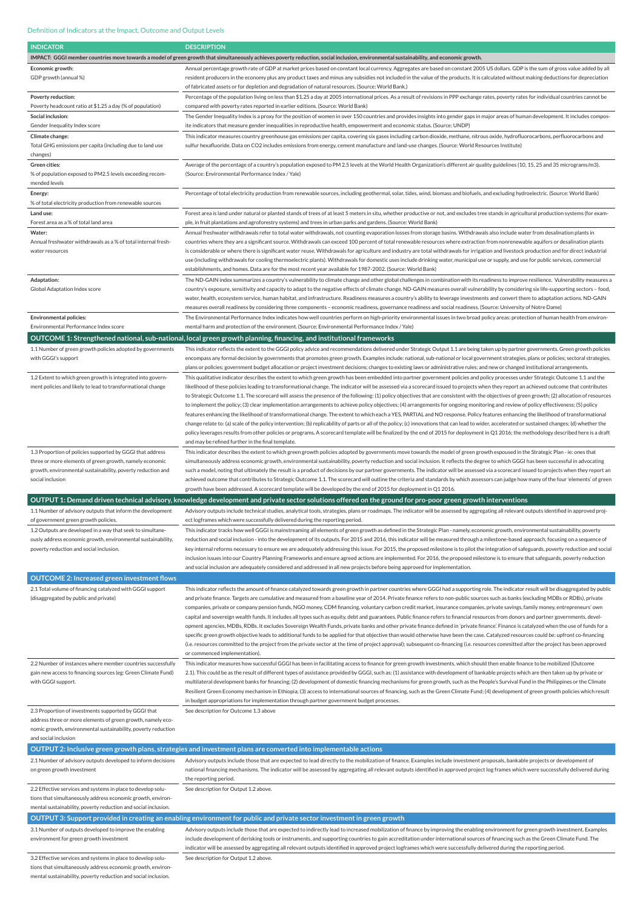| <b>INDICATOR</b>                                                                                                           | <b>DESCRIPTION</b>                                                                                                                                                                                                                                                                                                                                                                 |
|----------------------------------------------------------------------------------------------------------------------------|------------------------------------------------------------------------------------------------------------------------------------------------------------------------------------------------------------------------------------------------------------------------------------------------------------------------------------------------------------------------------------|
|                                                                                                                            | IMPACT: GGGI member countries move towards a model of green growth that simultaneously achieves poverty reduction, social inclusion, environmental sustainability, and economic growth.                                                                                                                                                                                            |
| Economic growth:                                                                                                           | Annual percentage growth rate of GDP at market prices based on constant local currency. Aggregates are based on constant 2005 US dollars. GDP is the sum of gross value added by all                                                                                                                                                                                               |
| GDP growth (annual %)                                                                                                      | resident producers in the economy plus any product taxes and minus any subsidies not included in the value of the products. It is calculated without making deductions for depreciation                                                                                                                                                                                            |
|                                                                                                                            | of fabricated assets or for depletion and degradation of natural resources. (Source: World Bank.)                                                                                                                                                                                                                                                                                  |
| Poverty reduction:                                                                                                         | Percentage of the population living on less than \$1.25 a day at 2005 international prices. As a result of revisions in PPP exchange rates, poverty rates for individual countries cannot be                                                                                                                                                                                       |
| Poverty headcount ratio at \$1.25 a day (% of population)                                                                  | compared with poverty rates reported in earlier editions. (Source: World Bank)                                                                                                                                                                                                                                                                                                     |
| Social inclusion:                                                                                                          | The Gender Inequality Index is a proxy for the position of women in over 150 countries and provides insights into gender gaps in major areas of human development. It includes compos-                                                                                                                                                                                             |
| Gender Inequality Index score                                                                                              | ite indicators that measure gender inequalities in reproductive health, empowerment and economic status. (Source: UNDP)                                                                                                                                                                                                                                                            |
| Climate change:                                                                                                            | This indicator measures country greenhouse gas emissions per capita, covering six gases including carbon dioxide, methane, nitrous oxide, hydrofluorocarbons, perfluorocarbons and                                                                                                                                                                                                 |
| Total GHG emissions per capita (including due to land use                                                                  | sulfur hexafluoride. Data on CO2 includes emissions from energy, cement manufacture and land-use changes. (Source: World Resources Institute)                                                                                                                                                                                                                                      |
| changes)                                                                                                                   |                                                                                                                                                                                                                                                                                                                                                                                    |
| Green cities:                                                                                                              | Average of the percentage of a country's population exposed to PM 2.5 levels at the World Health Organization's different air quality guidelines (10, 15, 25 and 35 micrograms/m3).                                                                                                                                                                                                |
| % of population exposed to PM2.5 levels exceeding recom-                                                                   | (Source: Environmental Performance Index / Yale)                                                                                                                                                                                                                                                                                                                                   |
| mended levels                                                                                                              |                                                                                                                                                                                                                                                                                                                                                                                    |
| Energy:                                                                                                                    | Percentage of total electricity production from renewable sources, including geothermal, solar, tides, wind, biomass and biofuels, and excluding hydroelectric. (Source: World Bank)                                                                                                                                                                                               |
| % of total electricity production from renewable sources                                                                   |                                                                                                                                                                                                                                                                                                                                                                                    |
| Land use:                                                                                                                  | Forest area is land under natural or planted stands of trees of at least 5 meters in situ, whether productive or not, and excludes tree stands in agricultural production systems (for exam-                                                                                                                                                                                       |
| Forest area as a % of total land area                                                                                      | ple, in fruit plantations and agroforestry systems) and trees in urban parks and gardens. (Source: World Bank)                                                                                                                                                                                                                                                                     |
| Water:                                                                                                                     | Annual freshwater withdrawals refer to total water withdrawals, not counting evaporation losses from storage basins. Withdrawals also include water from desalination plants in                                                                                                                                                                                                    |
| Annual freshwater withdrawals as a % of total internal fresh-                                                              | countries where they are a significant source. Withdrawals can exceed 100 percent of total renewable resources where extraction from nonrenewable aquifers or desalination plants                                                                                                                                                                                                  |
| water resources                                                                                                            | is considerable or where there is significant water reuse. Withdrawals for agriculture and industry are total withdrawals for irrigation and livestock production and for direct industrial                                                                                                                                                                                        |
|                                                                                                                            | use (including withdrawals for cooling thermoelectric plants). Withdrawals for domestic uses include drinking water, municipal use or supply, and use for public services, commercial                                                                                                                                                                                              |
|                                                                                                                            | establishments, and homes. Data are for the most recent year available for 1987-2002. (Source: World Bank)                                                                                                                                                                                                                                                                         |
| Adaptation:                                                                                                                | The ND-GAIN index summarizes a country's vulnerability to climate change and other global challenges in combination with its readiness to improve resilience. Vulnerability measures a                                                                                                                                                                                             |
| Global Adaptation Index score                                                                                              | country's exposure, sensitivity and capacity to adapt to the negative effects of climate change. ND-GAIN measures overall vulnerability by considering six life-supporting sectors - food,                                                                                                                                                                                         |
|                                                                                                                            | water, health, ecosystem service, human habitat, and infrastructure. Readiness measures a country's ability to leverage investments and convert them to adaptation actions. ND-GAIN                                                                                                                                                                                                |
|                                                                                                                            | measures overall readiness by considering three components - economic readiness, governance readiness and social readiness. (Source: University of Notre Dame)                                                                                                                                                                                                                     |
| <b>Environmental policies:</b>                                                                                             | The Environmental Performance Index indicates how well countries perform on high-priority environmental issues in two broad policy areas: protection of human health from environ-                                                                                                                                                                                                 |
| Environmental Performance Index score                                                                                      | mental harm and protection of the environment. (Source: Environmental Performance Index / Yale)                                                                                                                                                                                                                                                                                    |
|                                                                                                                            | OUTCOME 1: Strengthened national, sub-national, local green growth planning, financing, and institutional frameworks                                                                                                                                                                                                                                                               |
|                                                                                                                            |                                                                                                                                                                                                                                                                                                                                                                                    |
| 1.1 Number of green growth policies adopted by governments<br>with GGGI's support                                          | This indicator reflects the extent to the GGGI policy advice and recommendations delivered under Strategic Output 1.1 are being taken up by partner governments. Green growth policies                                                                                                                                                                                             |
|                                                                                                                            | encompass any formal decision by governments that promotes green growth. Examples include: national, sub-national or local government strategies, plans or policies; sectoral strategies,<br>plans or policies; government budget allocation or project investment decisions; changes to existing laws or administrative rules; and new or changed institutional arrangements.     |
|                                                                                                                            |                                                                                                                                                                                                                                                                                                                                                                                    |
| 1.2 Extent to which green growth is integrated into govern-<br>ment policies and likely to lead to transformational change | This qualitative indicator describes the extent to which green growth has been embedded into partner government policies and policy processes under Strategic Outcome 1.1 and the<br>likelihood of these policies leading to transformational change. The indicator will be assessed via a scorecard issued to projects when they report an achieved outcome that contributes      |
|                                                                                                                            | to Strategic Outcome 1.1. The scorecard will assess the presence of the following: (1) policy objectives that are consistent with the objectives of green growth; (2) allocation of resources                                                                                                                                                                                      |
|                                                                                                                            | to implement the policy; (3) clear implementation arrangements to achieve policy objectives; (4) arrangements for ongoing monitoring and review of policy effectiveness; (5) policy                                                                                                                                                                                                |
|                                                                                                                            | features enhancing the likelihood of transformational change. The extent to which each a YES, PARTIAL and NO response. Policy features enhancing the likelihood of transformational                                                                                                                                                                                                |
|                                                                                                                            | change relate to: (a) scale of the policy intervention; (b) replicability of parts or all of the policy; (c) innovations that can lead to wider, accelerated or sustained changes; (d) whether the                                                                                                                                                                                 |
|                                                                                                                            | policy leverages results from other policies or programs. A scorecard template will be finalized by the end of 2015 for deployment in Q1 2016; the methodology described here is a draft                                                                                                                                                                                           |
|                                                                                                                            | and may be refined further in the final template.                                                                                                                                                                                                                                                                                                                                  |
| 1.3 Proportion of policies supported by GGGI that address                                                                  | This indicator describes the extent to which green growth policies adopted by governments move towards the model of green growth espoused in the Strategic Plan - ie: ones that                                                                                                                                                                                                    |
| three or more elements of green growth, namely economic                                                                    | simultaneously address economic growth, environmental sustainability, poverty reduction and social inclusion. It reflects the degree to which GGGI has been successful in advocating                                                                                                                                                                                               |
| growth, environmental sustainability, poverty reduction and                                                                | such a model, noting that ultimately the result is a product of decisions by our partner governments. The indicator will be assessed via a scorecard issued to projects when they report an                                                                                                                                                                                        |
| social inclusion                                                                                                           | achieved outcome that contributes to Strategic Outcome 1.1. The scorecard will outline the criteria and standards by which assessors can judge how many of the four 'elements' of green                                                                                                                                                                                            |
|                                                                                                                            | growth have been addressed. A scorecard template will be developed by the end of 2015 for deployment in Q1 2016.                                                                                                                                                                                                                                                                   |
|                                                                                                                            | OUTPUT 1: Demand driven technical advisory, knowledge development and private sector solutions offered on the ground for pro-poor green growth interventions                                                                                                                                                                                                                       |
| 1.1 Number of advisory outputs that inform the development                                                                 | Advisory outputs include technical studies, analytical tools, strategies, plans or roadmaps. The indicator will be assessed by aggregating all relevant outputs identified in approved proj-                                                                                                                                                                                       |
| of government green growth policies.                                                                                       | ect logframes which were successfully delivered during the reporting period.                                                                                                                                                                                                                                                                                                       |
| 1.2 Outputs are developed in a way that seek to simultane-                                                                 | This indicator tracks how well GGGI is mainstreaming all elements of green growth as defined in the Strategic Plan - namely, economic growth, environmental sustainability, poverty                                                                                                                                                                                                |
| ously address economic growth, environmental sustainability,                                                               | reduction and social inclusion - into the development of its outputs. For 2015 and 2016, this indicator will be measured through a milestone-based approach, focusing on a sequence of                                                                                                                                                                                             |
| poverty reduction and social inclusion.                                                                                    | key internal reforms necessary to ensure we are adequately addressing this issue. For 2015, the proposed milestone is to pilot the integration of safeguards, poverty reduction and social                                                                                                                                                                                         |
|                                                                                                                            | inclusion issues into our Country Planning Frameworks and ensure agreed actions are implemented. For 2016, the proposed milestone is to ensure that safeguards, poverty reduction                                                                                                                                                                                                  |
|                                                                                                                            | and social inclusion are adequately considered and addressed in all new projects before being approved for implementation.                                                                                                                                                                                                                                                         |
|                                                                                                                            |                                                                                                                                                                                                                                                                                                                                                                                    |
| <b>OUTCOME 2: Increased green investment flows</b>                                                                         |                                                                                                                                                                                                                                                                                                                                                                                    |
| 2.1 Total volume of financing catalyzed with GGGI support                                                                  | This indicator reflects the amount of finance catalyzed towards green growth in partner countries where GGGI had a supporting role. The indicator result will be disaggregated by public                                                                                                                                                                                           |
| (disaggregated by public and private)                                                                                      | and private finance. Targets are cumulative and measured from a baseline year of 2014. Private finance refers to non-public sources such as banks (excluding MDBs or RDBs), private                                                                                                                                                                                                |
|                                                                                                                            | companies, private or company pension funds, NGO money, CDM financing, voluntary carbon credit market, insurance companies, private savings, family money, entrepreneurs' own                                                                                                                                                                                                      |
|                                                                                                                            | capital and sovereign wealth funds. It includes all types such as equity, debt and guarantees. Public finance refers to financial resources from donors and partner governments, devel-<br>opment agencies, MDBs, RDBs. It excludes Sovereign Wealth Funds, private banks and other private finance defined in 'private finance'. Finance is catalyzed when the use of funds for a |
|                                                                                                                            | specific green growth objective leads to additional funds to be applied for that objective than would otherwise have been the case. Catalyzed resources could be: upfront co-financing                                                                                                                                                                                             |
|                                                                                                                            | (i.e. resources committed to the project from the private sector at the time of project approval); subsequent co-financing (i.e. resources committed after the project has been approved                                                                                                                                                                                           |
|                                                                                                                            | or commenced implementation).                                                                                                                                                                                                                                                                                                                                                      |
| 2.2 Number of instances where member countries successfully                                                                | This indicator measures how successful GGGI has been in facilitating access to finance for green growth investments, which should then enable finance to be mobilized (Outcome                                                                                                                                                                                                     |
| gain new access to financing sources (eg: Green Climate Fund)                                                              | 2.1). This could be as the result of different types of assistance provided by GGGI, such as: (1) assistance with development of bankable projects which are then taken up by private or                                                                                                                                                                                           |

with GGGI support.

multilateral development banks for financing; (2) development of domestic financing mechanisms for green growth, such as the People's Survival Fund in the Philippines or the Climate

|                                                                                                    | Resilient Green Economy mechanism in Ethiopia; (3) access to international sources of financing, such as the Green Climate Fund; (4) development of green growth policies which result                                                                                                                                                                                                                                                                                                                                                               |
|----------------------------------------------------------------------------------------------------|------------------------------------------------------------------------------------------------------------------------------------------------------------------------------------------------------------------------------------------------------------------------------------------------------------------------------------------------------------------------------------------------------------------------------------------------------------------------------------------------------------------------------------------------------|
|                                                                                                    | in budget appropriations for implementation through partner government budget processes.                                                                                                                                                                                                                                                                                                                                                                                                                                                             |
| 2.3 Proportion of investments supported by GGGI that                                               | See description for Outcome 1.3 above                                                                                                                                                                                                                                                                                                                                                                                                                                                                                                                |
| address three or more elements of green growth, namely eco-                                        |                                                                                                                                                                                                                                                                                                                                                                                                                                                                                                                                                      |
| nomic growth, environmental sustainability, poverty reduction                                      |                                                                                                                                                                                                                                                                                                                                                                                                                                                                                                                                                      |
| and social inclusion                                                                               |                                                                                                                                                                                                                                                                                                                                                                                                                                                                                                                                                      |
|                                                                                                    | OUTPUT 2: Inclusive green growth plans, strategies and investment plans are converted into implementable actions                                                                                                                                                                                                                                                                                                                                                                                                                                     |
| 2.1 Number of advisory outputs developed to inform decisions<br>on green growth investment         | Advisory outputs include those that are expected to lead directly to the mobilization of finance. Examples include investment proposals, bankable projects or development of<br>national financing mechanisms. The indicator will be assessed by aggregating all relevant outputs identified in approved project log frames which were successfully delivered during                                                                                                                                                                                 |
|                                                                                                    | the reporting period.                                                                                                                                                                                                                                                                                                                                                                                                                                                                                                                                |
| 2.2 Effective services and systems in place to develop solu-                                       | See description for Output 1.2 above.                                                                                                                                                                                                                                                                                                                                                                                                                                                                                                                |
| tions that simultaneously address economic growth, environ-                                        |                                                                                                                                                                                                                                                                                                                                                                                                                                                                                                                                                      |
| mental sustainability, poverty reduction and social inclusion.                                     |                                                                                                                                                                                                                                                                                                                                                                                                                                                                                                                                                      |
|                                                                                                    | OUTPUT 3: Support provided in creating an enabling environment for public and private sector investment in green growth                                                                                                                                                                                                                                                                                                                                                                                                                              |
| 3.1 Number of outputs developed to improve the enabling<br>environment for green growth investment | Advisory outputs include those that are expected to indirectly lead to increased mobilization of finance by improving the enabling environment for green growth investment. Examples<br>include development of derisking tools or instruments, and supporting countries to gain accreditation under international sources of financing such as the Green Climate Fund. The<br>indicator will be assessed by aggregating all relevant outputs identified in approved project logframes which were successfully delivered during the reporting period. |
| 3.2 Effective services and systems in place to develop solu-                                       | See description for Output 1.2 above.                                                                                                                                                                                                                                                                                                                                                                                                                                                                                                                |
| tions that simultaneously address economic growth, environ-                                        |                                                                                                                                                                                                                                                                                                                                                                                                                                                                                                                                                      |
| mental sustainability, poverty reduction and social inclusion.                                     |                                                                                                                                                                                                                                                                                                                                                                                                                                                                                                                                                      |

## Definition of Indicators at the Impact, Outcome and Output Levels